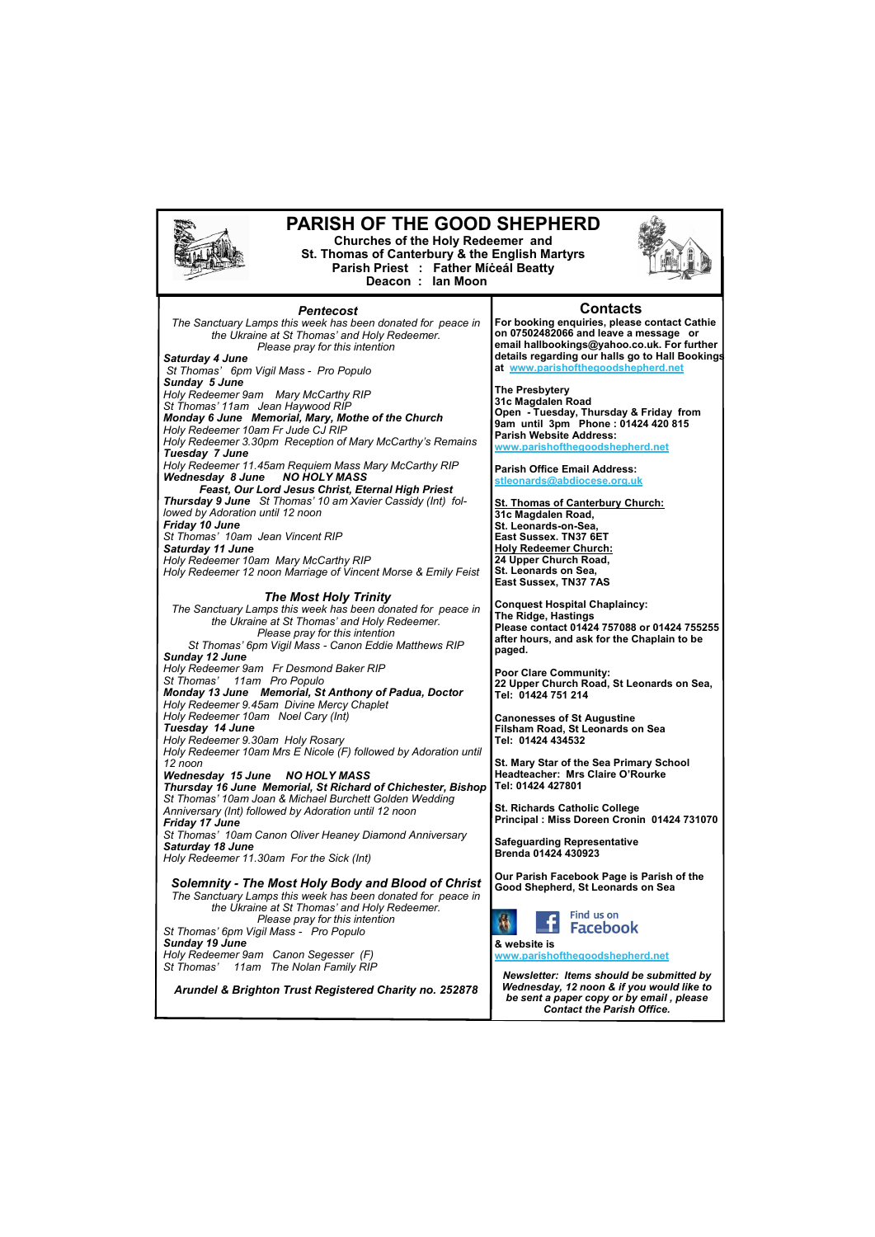

|                                                        | 8 website is                              |
|--------------------------------------------------------|-------------------------------------------|
| <b>Sunday 19 June</b>                                  | www.parishofthegoodshepherd.net           |
| Holy Redeemer 9am Canon Segesser (F)                   | Newsletter: Items should be submitted by  |
| St Thomas' 11am The Nolan Family RIP                   | Wednesday, 12 noon & if you would like to |
| Arundel & Brighton Trust Registered Charity no. 252878 | be sent a paper copy or by email, please  |
|                                                        | <b>Contact the Parish Office.</b>         |